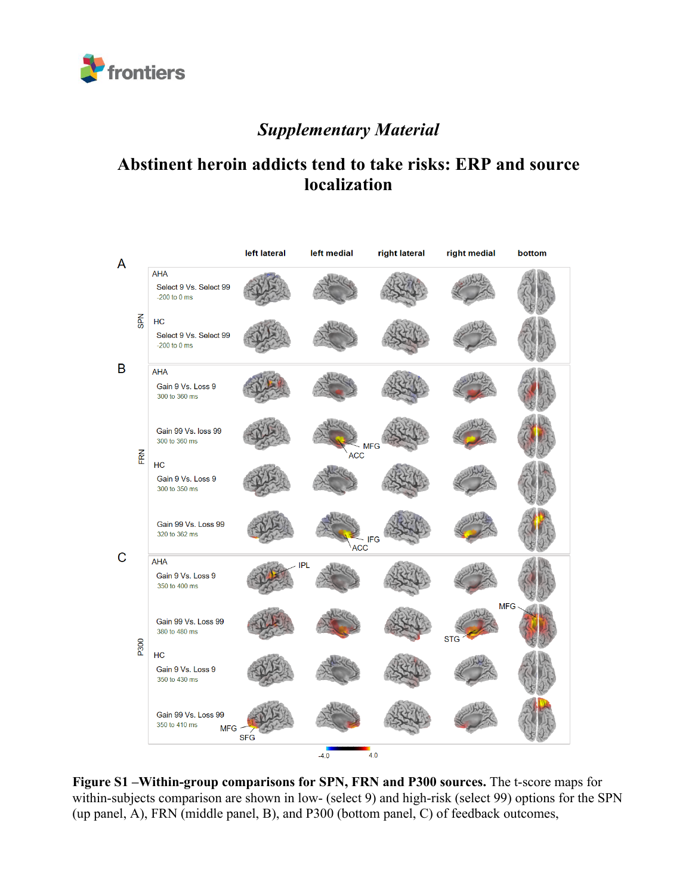

## *Supplementary Material*

## **Abstinent heroin addicts tend to take risks: ERP and source localization**



**Figure S1 –Within-group comparisons for SPN, FRN and P300 sources.** The t-score maps for within-subjects comparison are shown in low- (select 9) and high-risk (select 99) options for the SPN (up panel, A), FRN (middle panel, B), and P300 (bottom panel, C) of feedback outcomes,